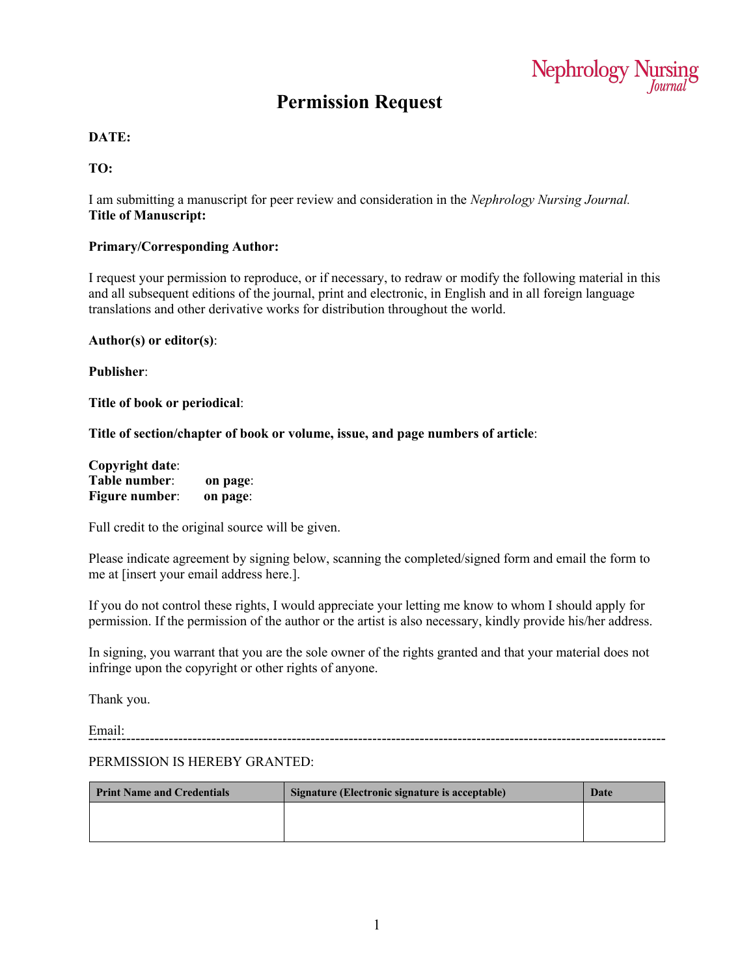

## **Permission Request**

#### **DATE:**

#### **TO:**

I am submitting a manuscript for peer review and consideration in the *Nephrology Nursing Journal.* **Title of Manuscript:**

#### **Primary/Corresponding Author:**

I request your permission to reproduce, or if necessary, to redraw or modify the following material in this and all subsequent editions of the journal, print and electronic, in English and in all foreign language translations and other derivative works for distribution throughout the world.

**Author(s) or editor(s)**:

**Publisher**:

**Title of book or periodical**:

**Title of section/chapter of book or volume, issue, and page numbers of article**:

| <b>Copyright date:</b> |          |
|------------------------|----------|
| Table number:          | on page: |
| <b>Figure number:</b>  | on page: |

Full credit to the original source will be given.

Please indicate agreement by signing below, scanning the completed/signed form and email the form to me at [insert your email address here.].

If you do not control these rights, I would appreciate your letting me know to whom I should apply for permission. If the permission of the author or the artist is also necessary, kindly provide his/her address.

In signing, you warrant that you are the sole owner of the rights granted and that your material does not infringe upon the copyright or other rights of anyone.

Thank you.

Email: 

#### PERMISSION IS HEREBY GRANTED:

| <b>Print Name and Credentials</b> | Signature (Electronic signature is acceptable) | Date |
|-----------------------------------|------------------------------------------------|------|
|                                   |                                                |      |
|                                   |                                                |      |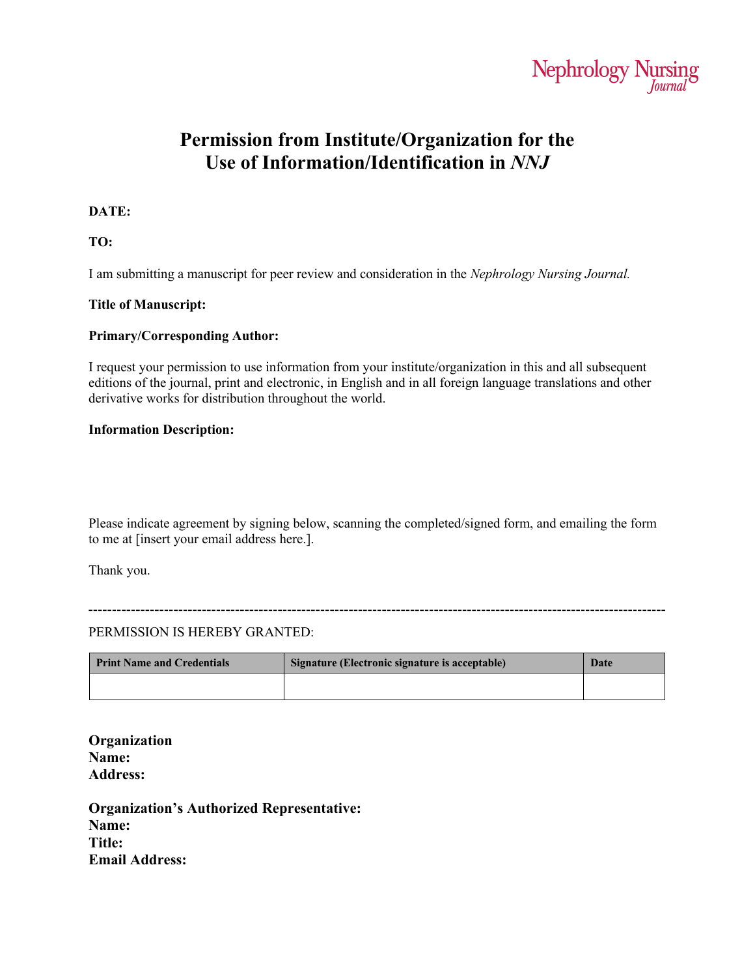

## **Permission from Institute/Organization for the Use of Information/Identification in** *NNJ*

#### **DATE:**

**TO:**

I am submitting a manuscript for peer review and consideration in the *Nephrology Nursing Journal.*

#### **Title of Manuscript:**

#### **Primary/Corresponding Author:**

I request your permission to use information from your institute/organization in this and all subsequent editions of the journal, print and electronic, in English and in all foreign language translations and other derivative works for distribution throughout the world.

#### **Information Description:**

Please indicate agreement by signing below, scanning the completed/signed form, and emailing the form to me at [insert your email address here.].

Thank you.

#### PERMISSION IS HEREBY GRANTED:

| <b>Print Name and Credentials</b> | Signature (Electronic signature is acceptable) | Date |
|-----------------------------------|------------------------------------------------|------|
|                                   |                                                |      |

**Organization Name: Address:**

**Organization's Authorized Representative: Name: Title: Email Address:**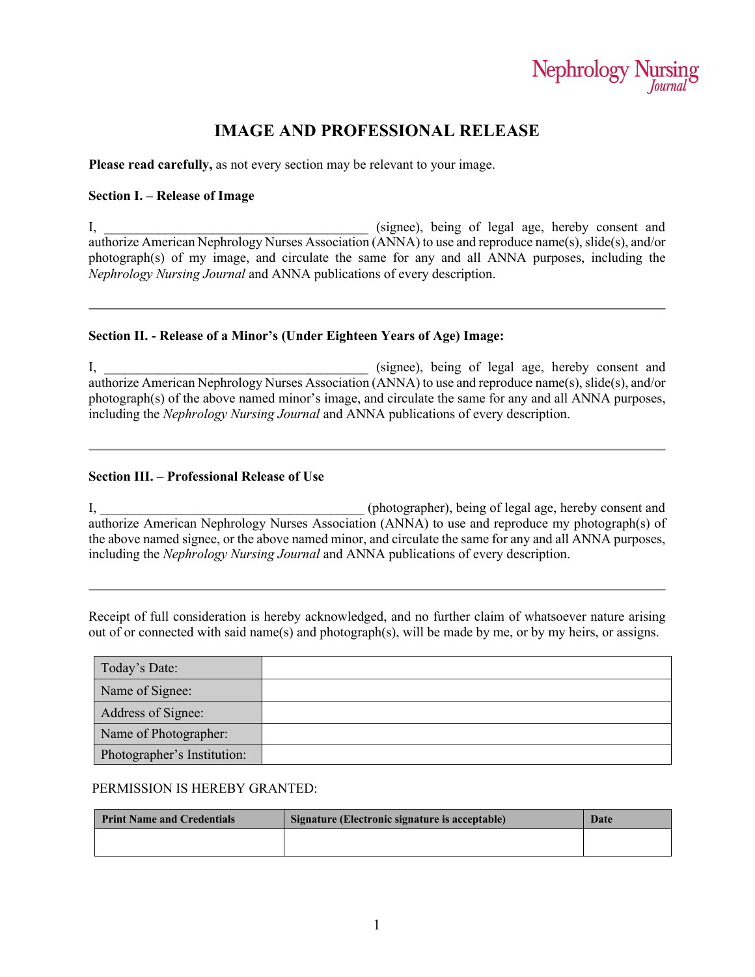# Nephrology Nursing

### **IMAGE AND PROFESSIONAL RELEASE**

**Please read carefully,** as not every section may be relevant to your image.

#### **Section I. – Release of Image**

I, \_\_\_\_\_\_\_\_\_\_\_\_\_\_\_\_\_\_\_\_\_\_\_\_\_\_\_\_\_\_\_\_\_\_\_\_\_\_\_ (signee), being of legal age, hereby consent and authorize American Nephrology Nurses Association (ANNA) to use and reproduce name(s), slide(s), and/or photograph(s) of my image, and circulate the same for any and all ANNA purposes, including the *Nephrology Nursing Journal* and ANNA publications of every description.

#### **Section II. - Release of a Minor's (Under Eighteen Years of Age) Image:**

I, the same of the same of legal age, hereby consent and  $\sum_{i=1}^{\infty}$  is the same of legal age, hereby consent and authorize American Nephrology Nurses Association (ANNA) to use and reproduce name(s), slide(s), and/or photograph(s) of the above named minor's image, and circulate the same for any and all ANNA purposes, including the *Nephrology Nursing Journal* and ANNA publications of every description.

#### **Section III. – Professional Release of Use**

I, the consent of the consent of the consent of legal age, hereby consent and  $\Gamma$ authorize American Nephrology Nurses Association (ANNA) to use and reproduce my photograph(s) of the above named signee, or the above named minor, and circulate the same for any and all ANNA purposes, including the *Nephrology Nursing Journal* and ANNA publications of every description.

Receipt of full consideration is hereby acknowledged, and no further claim of whatsoever nature arising out of or connected with said name(s) and photograph(s), will be made by me, or by my heirs, or assigns.

| Today's Date:               |  |
|-----------------------------|--|
| Name of Signee:             |  |
| Address of Signee:          |  |
| Name of Photographer:       |  |
| Photographer's Institution: |  |

#### PERMISSION IS HEREBY GRANTED:

| <b>Print Name and Credentials</b> | Signature (Electronic signature is acceptable) | Date |
|-----------------------------------|------------------------------------------------|------|
|                                   |                                                |      |